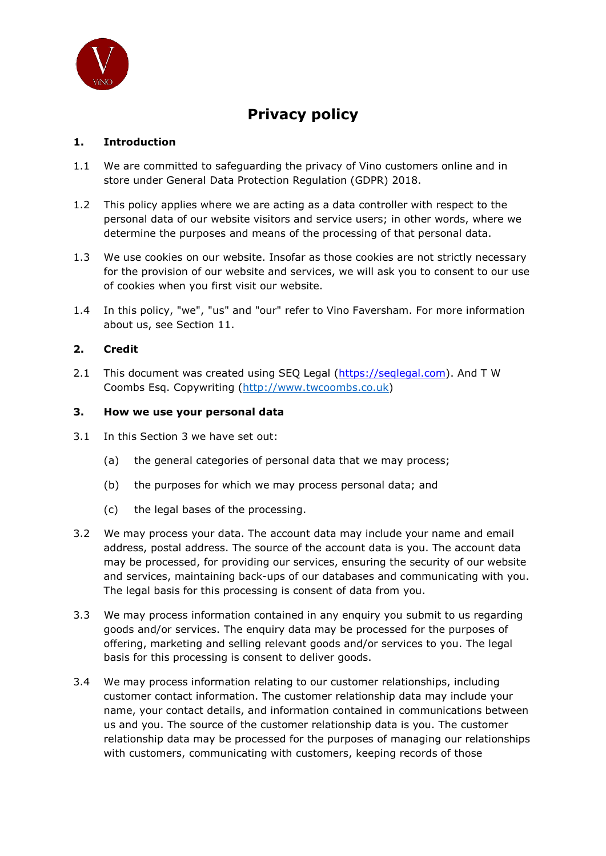

# Privacy policy

# 1. Introduction

- 1.1 We are committed to safeguarding the privacy of Vino customers online and in store under General Data Protection Regulation (GDPR) 2018.
- 1.2 This policy applies where we are acting as a data controller with respect to the This policy applies where we are acting as a data controller with respect to the<br>personal data of our website visitors and service users; in other words, where we determine the purposes and means of the processing of that personal data.
- determine the purposes and means of the processing of that personal data.<br>1.3 We use cookies on our website. Insofar as those cookies are not strictly necessary for the provision of our website and services, we will ask you to consent to our use of cookies when you first visit our website. personal data of our website visitors and service users; in other words, where we<br>determine the purposes and means of the processing of that personal data.<br>1.3 We use cookies on our website. Insofar as those cookies are no
- about us, see Section 11 11.

# 2. Credit

2.1 This document was created using SEQ Legal (https://seglegal.com). And T W Coombs Esq. Copywriting (http://www.twcoombs.co.uk)

## 3. How we use your personal data

- 3.1 In this Section 3 we have set out:
	- (a) the general categories of personal data that we may process;
	- (b) the purposes for which we may process personal data; and
	- (c) the legal bases of the processing.
- (a) the general categories of personal data that we may process;<br>
(b) the purposes for which we may process personal data; and<br>
(c) the legal bases of the processing.<br>
3.2 We may process your data. The account data may inc address, postal address. The source of the account data is you. The account data may be processed, for providing our services, ensuring the security of our website and services, maintaining back-ups of our databases and communicating with you. The legal basis for this processing is consent of data from you. . The source of the account data is you. The account data<br>providing our services, ensuring the security of our website<br>ng back-ups of our databases and communicating with you.<br>processing is consent of data from you.<br>ation
- 3.3 We may process information contained in any enquiry you submit to us regarding The legal basis for this processing is consent of data from you.<br>We may process information contained in any enquiry you submit to us regardii<br>goods and/or services. The enquiry data may be processed for the purposes of offering, marketing and selling marketing and relevant goods and/or services to you. The legal basis for this processing is consent to deliver goods.
- 3.4 We may process information relating to our customer relationships, including customer contact information. The customer relationship data may include your name, your contact details, and information contained in communications between us and you. The source of the customer relationship data is you. The customer relationship data may be processed for the purposes of managing our relationships with customers, communicating with customers, keeping records of those may process information relating to our customer relationships, including<br>comer contact information. The customer relationship data may include your<br>ne, your contact details, and information contained in communications bet for the purposes of<br>es to you. The legal<br>nships, including<br>a may include your<br>nmunications betwe<br>you. The customer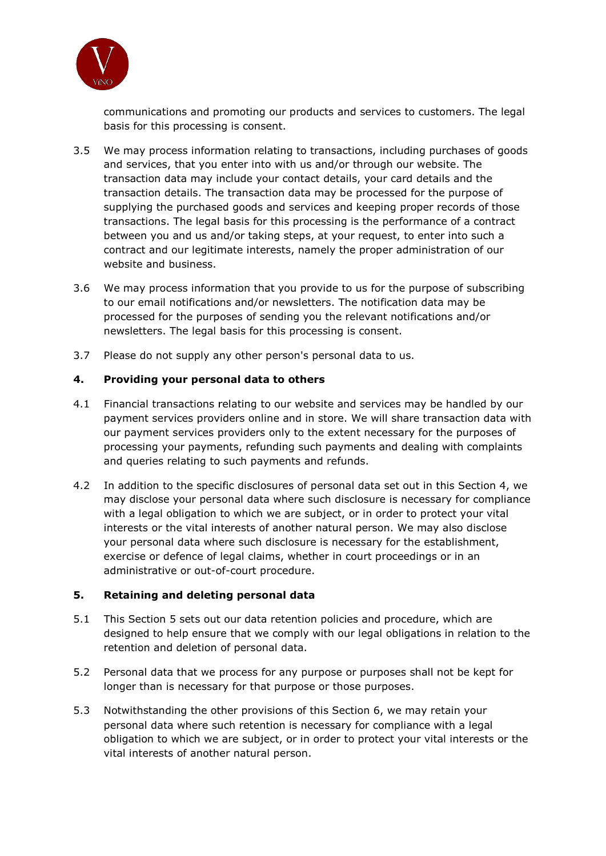

communications and promoting our products and services to customers. The legal<br>basis for this processing is consent. basis for this processing is consent

- 3.5 We may process information relating to transactions, including purchases of goods and services, that you enter into with us and/or through our website. The and services, that you enter into with us and/or through our website. The<br>transaction data may include your contact details, your card details and the transaction details. The transaction data may be processed for the purpose of supplying the purchased goods and services and keeping proper records of those transactions. The legal basis for this processing is the performance of a contract between you and us and/or taking steps, at your request, to enter into such a website and business. purchased goods and services and keeping proper records of tho<br>The legal basis for this processing is the performance of a contrad<br>and us and/or taking steps, at your request, to enter into such a tion relating to transactions, including purchases of goods<br>ther into with us and/or through our website. The<br>lude your contact details, your card details and the<br>goods and services and keeping proper records of those<br>good
- contract and our legitimate interests, namely the proper administration of our<br>website and business.<br>We may process information that you provide to us for the purpose of subscrib<br>to our email notifications and/or newslette 3.6 We may process information that you provide to us for the purpose of subscribing to our email notifications and/or newsletters. The no processed for the purposes of sending you the relevant notifications and/or newsletters. The legal basis for this processing is consent.
- 3.7 Please do not supply any other person's person's personal data to us.

## 4. Providing your personal data data to others

- 4.1 Financial transactions relating to our website and services may be handled by our payment services providers services providers online and in store. We will share transaction data with our payment services providers only to the extent necessary for the purposes of processing your payments, refunding such payments and dealing with complaints processing your payments, refunding such payments<br>and queries relating to such payments and refunds.
- 4.2 In addition to the specific disclosures of personal data set out in this Section 4, we may disclose your personal data where such disclosure is necessary for compliance with a legal obligation to which we are subject, or in order to protect your vital interests or the vital interests of another natural person. We may also disclose your personal data where such disclosure is necessary for the establishment, exercise or defence of legal claims, whether in court proceedings or in an administrative or out-of-court procedure. to the specific disclosures of personal data set out in this Section 4,<br>e your personal data where such disclosure is necessary for complia<br>obligation to which we are subject, or in order to protect your vital personal data where such disclosure is necessary for the<br>:ise or defence of legal claims, whether in court proceedir<br>nistrative or out-of-court procedure.

## 5. Retaining and deleting personal data

- 5.1 This Section 5 sets out our data retention policies and procedure, which are designed to help ensure that we comply with our legal obligations in relation to the retention and deletion of personal data.
- 5.2 Personal data that we process for any purpose or purposes shall not be kept for longer than is necessary for that purpose or those purposes.
- 5.3 Notwithstanding the other provisions of this Section 6, we may retain your personal data where such retention is necessary for compliance with a legal obligation to which we are subject, or in order to protect your vital interests or the vital interests of another natural person.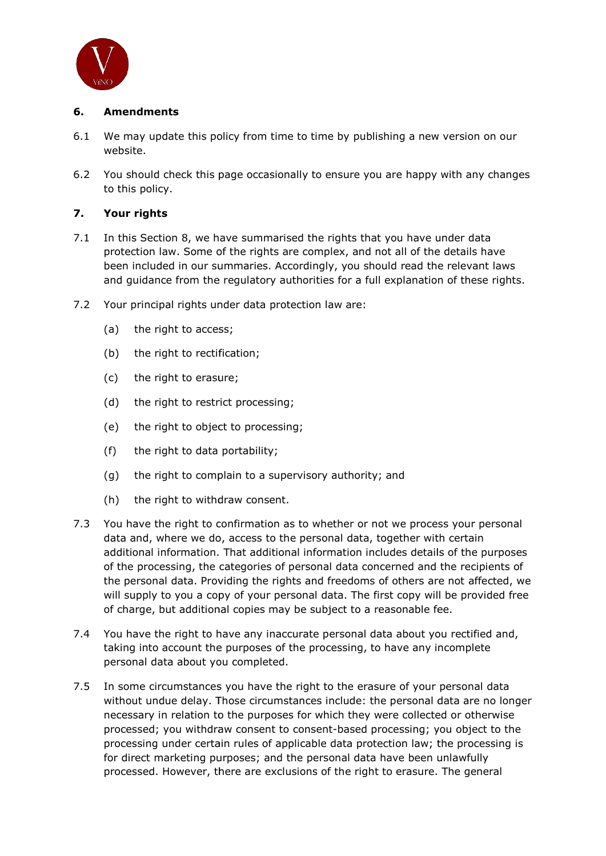

## 6. Amendments

- 6.1 We may update this policy from time to time by publishing a new version on our website.
- 6.2 You should check this page occasionally to ensure you are happy with any changes to this policy.

# 7. Your rights

- 7.1 In this Section 8, we have summarised the rights that you have under data You should check this page occasionally to ensure you are happy with any changes<br>to this policy.<br>**Your rights**<br>In this Section 8, we have summarised the rights that you have under data<br>protection law. Some of the rights ar been included in our summaries. Accordingly, you should read the relevant laws and guidance from the regulatory authorities for a full explanation of these rights. mmaries. Accordingly, you should read the relevant<br>regulatory authorities for a full explanation of these<br>der data protection law are:
- 7.2 Your principal rights under data protection law are:
	- (a) the right to access;
	- (b) the right to rectification;
	- (c) the right to erasure;
	- (d) the right to restrict processing;
	- (e) the right to object to processing;
	- (f) the right to data portability;
	- (g) the right to complain to a supervisory authority; and access;<br>rectification;<br>restrict processing;<br>object to processing;<br>data portability;<br>complain to a supervisory authority; and
	- (h) the right to withdraw consent.
- 7.3 You have the right to confirmation as to whether or not we process your personal data and, where we do, access to the personal data, together with certain You have the right to confirmation as to whether or not we process your personal<br>data and, where we do, access to the personal data, together with certain<br>additional information. That additional information includes detail of the processing, the categories of personal data concerned and the recipients of the personal data. Providing the rights and freedoms of others are not affected, we will supply to you a copy of your personal data. The first copy will be provided free of charge, but additional copies may be subject to a reasonable fee. sing, the categories of personal data concerned and the recipients of<br>data. Providing the rights and freedoms of others are not affected, we<br>you a copy of your personal data. The first copy will be provided free We may update this policy from time to time by publishing a new version on our<br>Website.<br>
You should check this page occasionally to ensure you are happy with any change<br>
You should check this page occasionally to ensure yo
- 7.4 You have the right to have any inaccurate personal data about you rectified and, taking into account the purposes of the processing, to have any incomplete personal data about you completed. It have the right to have any inaccurate personal data about you rectified and,<br>ing into account the purposes of the processing, to have any incomplete<br>rsonal data about you completed.<br>Some circumstances you have the right
- 7.5 In some circumstances you have the right to the erasure of your personal data without undue delay. Those circumstances include: the personal data are no longer necessary in relation to the purposes for which they were collected or otherwise processed; you withdraw consent to consent-based processing; you object to the processing under certain rules of applicable data protection law; the processing is for direct marketing purposes; and the personal data have been unlawfully processed. However, there are exclusions of the right to erasure. The general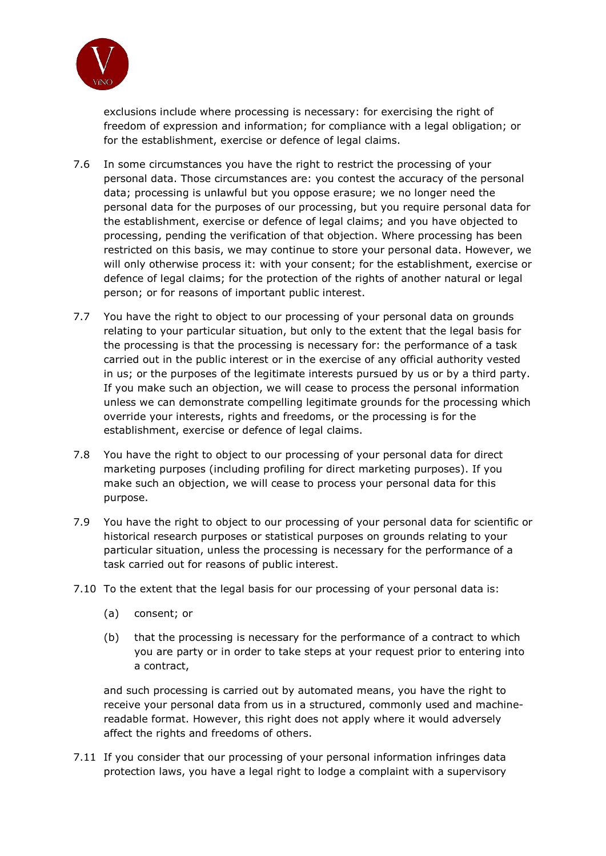

exclusions include where processing is necessary: for exercising the right of freedom of expression and information; for compliance with a legal obligation; or for the establishment, exercise or defence of legal claims.

- 7.6 In some circumstances you have the right to restrict the processing of your personal data. Those circumstances are: you contest the accuracy of the personal data; processing is unlawful but you oppose erasure; we no longer need the personal data for the purposes of our processing, but you require personal data for the establishment, exercise or defence of legal claims; and you have objected to personal data for the purposes of our processing, but you require personal data for<br>the establishment, exercise or defence of legal claims; and you have objected to<br>processing, pending the verification of that objection. W restricted on this basis, we may continue to store your personal data. However, we will only otherwise process it: with your consent; for the establishment, exercise or defence of legal claims; for the protection of the rights of another natural or legal person; or for reasons of important public interest. some circumstances you have the right to restrict the processing of your<br>rsonal data. Those circumstances are: you contest the accuracy of the pers<br>ta; processing is unlawful but you oppose erasure; we no longer need the
- 7.7 You have the right to object to our processing of your personal data on grounds relating to your particular situation, but only to the extent that the legal basis for the processing is that the processing is necessary for: the performance of a task carried out in the public interest or in the exercise of any official authority vested in us; or the purposes of the legitimate interests pursued by us or by a third party. If you make such an objection, we will cease to process the personal information unless we can demonstrate compelling legitimate grounds for the processing which override your interests, rights and freedoms, or the processing is for the establishment, exercise or defence of legal claims. on this basis, we may continue to store your personal data. However, w<br>therwise process it: with your consent; for the establishment, exercise of<br>legal claims; for the protection of the rights of another natural or legal<br>r orocessing is unlawful but you oppose erasture; we no longer need the<br>sidulishment, evertise or defines of igeal calims; and you nequire personal data fo<br>alidata for the purposes of our processing, but you require personal
- 7.8 You have the right to object to our processing of your personal data for direct marketing purposes (including profiling for direct marketing purposes). If you make such an objection, we will cease to process your personal data for this purpose.
- 7.9 You have the right to object to our processing of your personal data for scientific or historical research purposes or statistical purposes on grounds relating to your particular situation, unless the processing is necessary for the performan performance of a task carried out for reasons of public interest. have the right to object to our processing of your personal data for direct<br>eting purposes). If you<br>e such an objection, we will cease to process your personal data for this<br>ose.<br>ave the right to object to our processing o
- 7.10 To the extent that the legal basis for our processing of your personal data is:
	- (a) consent; or
	- (b) that the processing is necessary for the performance of a contract to which you are party or in order to take steps at your request prior to entering into a contract,

and such processing is carried out by automated means, you have the right to receive your personal data from us in a structured, commonly used and machine readable format. However, this right does not apply where it would adversely affect the rights and freedoms of others. ied out by automated means, you have the right to<br>from us in a structured, commonly used and machine<br>this right does not apply where it would adversely machine-

7.11 If you consider that our processing of your personal information infringes data protection laws, you have a legal right to lodge a complaint with a supervisory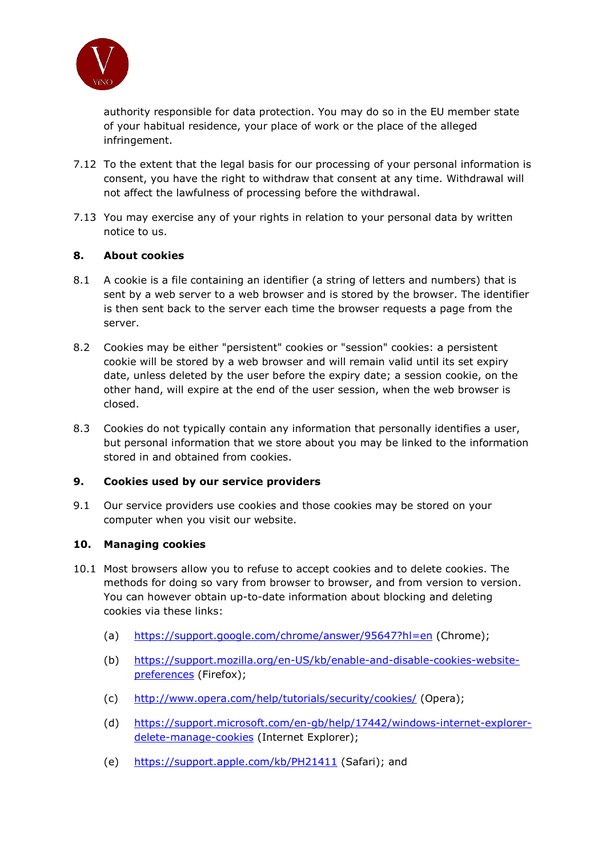

authority responsible for data protection. You may do so in the EU member state of your habitual residence, your place of work or the place of the alleged infringement.

- 7.12 To the extent that the legal basis for our processing of your personal informati information is consent, you have the right to withdraw that consent at any time. Withdrawal will not affect the lawfulness of processing before the withdrawal.
- 7.13 You may exercise any of your rights in relation to your personal data by written notice to us.

## 8. About cookies

- 8.1 A cookie is a file containing an identifier (a string of letters and numbers) that is sent by a web server to a web browser and is stored by the browser. The identifier is then sent back to the server each time the browser requests a page from the server.
- 8.2 Cookies may be either "persistent" cookies or "session" cookies: a persistent cookie will be stored by a web browser and will remain valid until its set expiry date, unless deleted by the user before the expiry date; a session cookie, on the other hand, will expire at the end of the user session, when the web browser is closed. authority responsible for data protection. You may do so in the EU member state<br>of your habitual residence, your place of work or the place of the alleged<br>infringement.<br>To the extent that the legal basis for our processing
- 8.3 Cookies do not typically contain any information that personally identifies a user, but personal information that we store about you may be linked to the info information stored in and obtained from cookies.

## 9. Cookies used by our service providers

9.1 Our service providers use cookies and those cookies may be stored on your computer when you visit our website. 10.1 Our service providers use cookies and those cookies may be stored on your<br>
10. Managing cookies<br>
10.1 Most browsers allow you to refuse to accept cookies and to delete cookies. The

## 10. Managing cookies

- methods for doing so vary from browser to browser, and from version to version. methods for doing so vary from browser to browser, and from version to ver<br>You can however obtain up-to-date information about blocking and deleting cookies via these links: fuse to accept cookies and to delete cookies. The<br>m browser to browser, and from version to version.<br>--date information about blocking and deleting<br>com/chrome/answer/95647?hl=en (Chrome);<br>org/en-US/kb/enable-and-disable-co
	- (a) https://support.google.com/chrome/answer/95647?hl=en (Chrome);
	- (b) https://support.mozilla.org/en-US/kb/enable-and-disable-cookies preferences (Firefox);
	- (c) http://www.opera.com/help/tutorials/security/cookies/ (Opera);
	- (d) https://support.microsoft.com/en-gb/help/17442/windows-internet-explorerdelete-manage-cookies (Internet Explorer);
	- (e) https://support.apple.com/kb/PH21411 (Safari); and